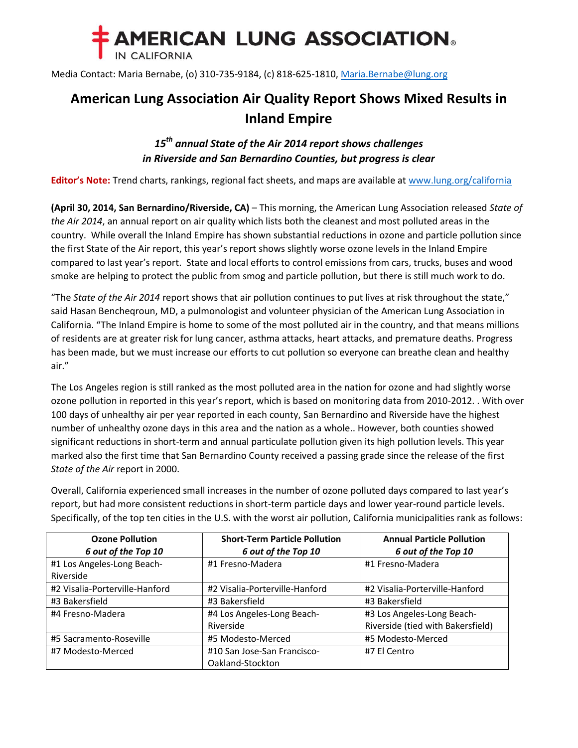

Media Contact: Maria Bernabe, (o) 310-735-9184, (c) 818-625-1810, [Maria.Bernabe@lung.org](mailto:Maria.Bernabe@lung.org)

## **American Lung Association Air Quality Report Shows Mixed Results in Inland Empire**

## *15 th annual State of the Air 2014 report shows challenges in Riverside and San Bernardino Counties, but progress is clear*

**Editor's Note:** Trend charts, rankings, regional fact sheets, and maps are available at [www.lung.org/california](http://www.lung.org/california)

**(April 30, 2014, San Bernardino/Riverside, CA)** – This morning, the American Lung Association released *State of the Air 2014*, an annual report on air quality which lists both the cleanest and most polluted areas in the country. While overall the Inland Empire has shown substantial reductions in ozone and particle pollution since the first State of the Air report, this year's report shows slightly worse ozone levels in the Inland Empire compared to last year's report. State and local efforts to control emissions from cars, trucks, buses and wood smoke are helping to protect the public from smog and particle pollution, but there is still much work to do.

"The *State of the Air 2014* report shows that air pollution continues to put lives at risk throughout the state," said Hasan Bencheqroun, MD, a pulmonologist and volunteer physician of the American Lung Association in California. "The Inland Empire is home to some of the most polluted air in the country, and that means millions of residents are at greater risk for lung cancer, asthma attacks, heart attacks, and premature deaths. Progress has been made, but we must increase our efforts to cut pollution so everyone can breathe clean and healthy air."

The Los Angeles region is still ranked as the most polluted area in the nation for ozone and had slightly worse ozone pollution in reported in this year's report, which is based on monitoring data from 2010-2012. . With over 100 days of unhealthy air per year reported in each county, San Bernardino and Riverside have the highest number of unhealthy ozone days in this area and the nation as a whole.. However, both counties showed significant reductions in short-term and annual particulate pollution given its high pollution levels. This year marked also the first time that San Bernardino County received a passing grade since the release of the first *State of the Air* report in 2000.

Overall, California experienced small increases in the number of ozone polluted days compared to last year's report, but had more consistent reductions in short-term particle days and lower year-round particle levels. Specifically, of the top ten cities in the U.S. with the worst air pollution, California municipalities rank as follows:

| <b>Ozone Pollution</b>         | <b>Short-Term Particle Pollution</b> | <b>Annual Particle Pollution</b>  |
|--------------------------------|--------------------------------------|-----------------------------------|
| 6 out of the Top 10            | 6 out of the Top 10                  | 6 out of the Top 10               |
| #1 Los Angeles-Long Beach-     | #1 Fresno-Madera                     | #1 Fresno-Madera                  |
| Riverside                      |                                      |                                   |
| #2 Visalia-Porterville-Hanford | #2 Visalia-Porterville-Hanford       | #2 Visalia-Porterville-Hanford    |
| #3 Bakersfield                 | #3 Bakersfield                       | #3 Bakersfield                    |
| #4 Fresno-Madera               | #4 Los Angeles-Long Beach-           | #3 Los Angeles-Long Beach-        |
|                                | Riverside                            | Riverside (tied with Bakersfield) |
| #5 Sacramento-Roseville        | #5 Modesto-Merced                    | #5 Modesto-Merced                 |
| #7 Modesto-Merced              | #10 San Jose-San Francisco-          | #7 El Centro                      |
|                                | Oakland-Stockton                     |                                   |